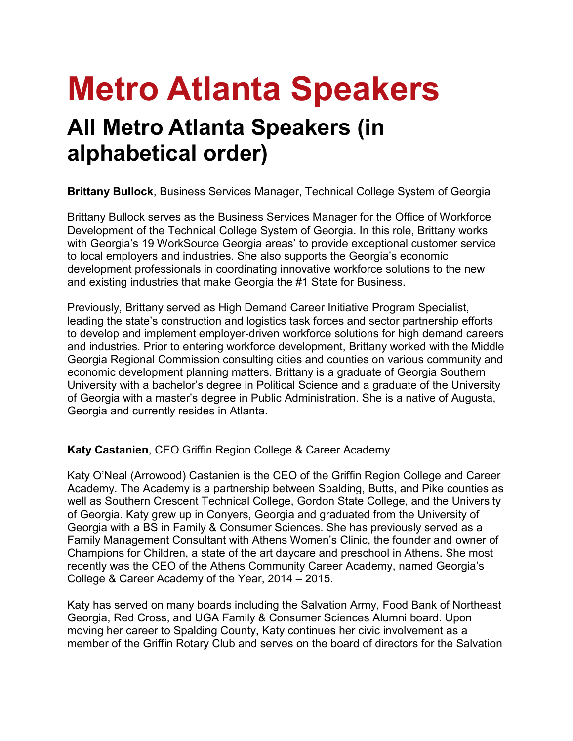# **Metro Atlanta Speakers**

# **All Metro Atlanta Speakers (in alphabetical order)**

**Brittany Bullock**, Business Services Manager, Technical College System of Georgia

Brittany Bullock serves as the Business Services Manager for the Office of Workforce Development of the Technical College System of Georgia. In this role, Brittany works with Georgia's 19 WorkSource Georgia areas' to provide exceptional customer service to local employers and industries. She also supports the Georgia's economic development professionals in coordinating innovative workforce solutions to the new and existing industries that make Georgia the #1 State for Business.

Previously, Brittany served as High Demand Career Initiative Program Specialist, leading the state's construction and logistics task forces and sector partnership efforts to develop and implement employer-driven workforce solutions for high demand careers and industries. Prior to entering workforce development, Brittany worked with the Middle Georgia Regional Commission consulting cities and counties on various community and economic development planning matters. Brittany is a graduate of Georgia Southern University with a bachelor's degree in Political Science and a graduate of the University of Georgia with a master's degree in Public Administration. She is a native of Augusta, Georgia and currently resides in Atlanta.

# **Katy Castanien**, CEO Griffin Region College & Career Academy

Katy O'Neal (Arrowood) Castanien is the CEO of the Griffin Region College and Career Academy. The Academy is a partnership between Spalding, Butts, and Pike counties as well as Southern Crescent Technical College, Gordon State College, and the University of Georgia. Katy grew up in Conyers, Georgia and graduated from the University of Georgia with a BS in Family & Consumer Sciences. She has previously served as a Family Management Consultant with Athens Women's Clinic, the founder and owner of Champions for Children, a state of the art daycare and preschool in Athens. She most recently was the CEO of the Athens Community Career Academy, named Georgia's College & Career Academy of the Year, 2014 – 2015.

Katy has served on many boards including the Salvation Army, Food Bank of Northeast Georgia, Red Cross, and UGA Family & Consumer Sciences Alumni board. Upon moving her career to Spalding County, Katy continues her civic involvement as a member of the Griffin Rotary Club and serves on the board of directors for the Salvation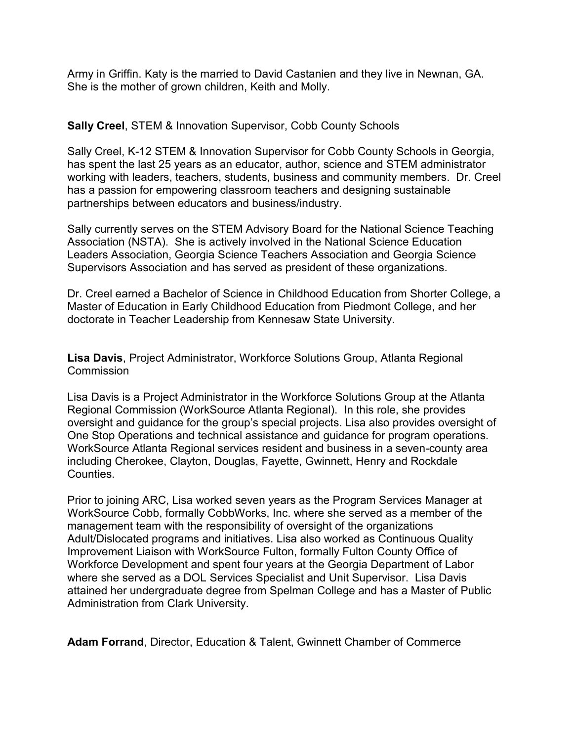Army in Griffin. Katy is the married to David Castanien and they live in Newnan, GA. She is the mother of grown children, Keith and Molly.

# **Sally Creel**, STEM & Innovation Supervisor, Cobb County Schools

Sally Creel, K-12 STEM & Innovation Supervisor for Cobb County Schools in Georgia, has spent the last 25 years as an educator, author, science and STEM administrator working with leaders, teachers, students, business and community members. Dr. Creel has a passion for empowering classroom teachers and designing sustainable partnerships between educators and business/industry.

Sally currently serves on the STEM Advisory Board for the National Science Teaching Association (NSTA). She is actively involved in the National Science Education Leaders Association, Georgia Science Teachers Association and Georgia Science Supervisors Association and has served as president of these organizations.

Dr. Creel earned a Bachelor of Science in Childhood Education from Shorter College, a Master of Education in Early Childhood Education from Piedmont College, and her doctorate in Teacher Leadership from Kennesaw State University.

**Lisa Davis**, Project Administrator, Workforce Solutions Group, Atlanta Regional Commission

Lisa Davis is a Project Administrator in the Workforce Solutions Group at the Atlanta Regional Commission (WorkSource Atlanta Regional). In this role, she provides oversight and guidance for the group's special projects. Lisa also provides oversight of One Stop Operations and technical assistance and guidance for program operations. WorkSource Atlanta Regional services resident and business in a seven-county area including Cherokee, Clayton, Douglas, Fayette, Gwinnett, Henry and Rockdale Counties.

Prior to joining ARC, Lisa worked seven years as the Program Services Manager at WorkSource Cobb, formally CobbWorks, Inc. where she served as a member of the management team with the responsibility of oversight of the organizations Adult/Dislocated programs and initiatives. Lisa also worked as Continuous Quality Improvement Liaison with WorkSource Fulton, formally Fulton County Office of Workforce Development and spent four years at the Georgia Department of Labor where she served as a DOL Services Specialist and Unit Supervisor. Lisa Davis attained her undergraduate degree from Spelman College and has a Master of Public Administration from Clark University.

**Adam Forrand**, Director, Education & Talent, Gwinnett Chamber of Commerce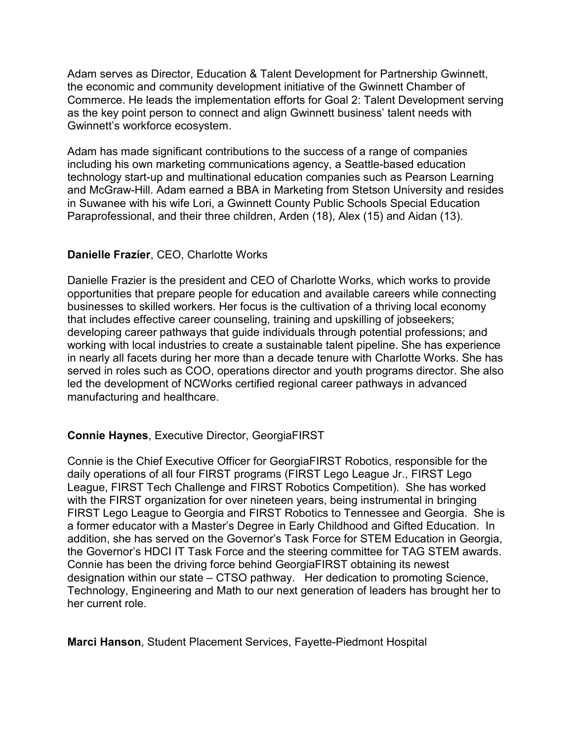Adam serves as Director, Education & Talent Development for Partnership Gwinnett, the economic and community development initiative of the Gwinnett Chamber of Commerce. He leads the implementation efforts for Goal 2: Talent Development serving as the key point person to connect and align Gwinnett business' talent needs with Gwinnett's workforce ecosystem.

Adam has made significant contributions to the success of a range of companies including his own marketing communications agency, a Seattle-based education technology start-up and multinational education companies such as Pearson Learning and McGraw-Hill. Adam earned a BBA in Marketing from Stetson University and resides in Suwanee with his wife Lori, a Gwinnett County Public Schools Special Education Paraprofessional, and their three children, Arden (18), Alex (15) and Aidan (13).

# **Danielle Frazier**, CEO, Charlotte Works

Danielle Frazier is the president and CEO of Charlotte Works, which works to provide opportunities that prepare people for education and available careers while connecting businesses to skilled workers. Her focus is the cultivation of a thriving local economy that includes effective career counseling, training and upskilling of jobseekers; developing career pathways that guide individuals through potential professions; and working with local industries to create a sustainable talent pipeline. She has experience in nearly all facets during her more than a decade tenure with Charlotte Works. She has served in roles such as COO, operations director and youth programs director. She also led the development of NCWorks certified regional career pathways in advanced manufacturing and healthcare.

# **Connie Haynes**, Executive Director, GeorgiaFIRST

Connie is the Chief Executive Officer for GeorgiaFIRST Robotics, responsible for the daily operations of all four FIRST programs (FIRST Lego League Jr., FIRST Lego League, FIRST Tech Challenge and FIRST Robotics Competition). She has worked with the FIRST organization for over nineteen years, being instrumental in bringing FIRST Lego League to Georgia and FIRST Robotics to Tennessee and Georgia. She is a former educator with a Master's Degree in Early Childhood and Gifted Education. In addition, she has served on the Governor's Task Force for STEM Education in Georgia, the Governor's HDCI IT Task Force and the steering committee for TAG STEM awards. Connie has been the driving force behind GeorgiaFIRST obtaining its newest designation within our state – CTSO pathway. Her dedication to promoting Science, Technology, Engineering and Math to our next generation of leaders has brought her to her current role.

**Marci Hanson**, Student Placement Services, Fayette-Piedmont Hospital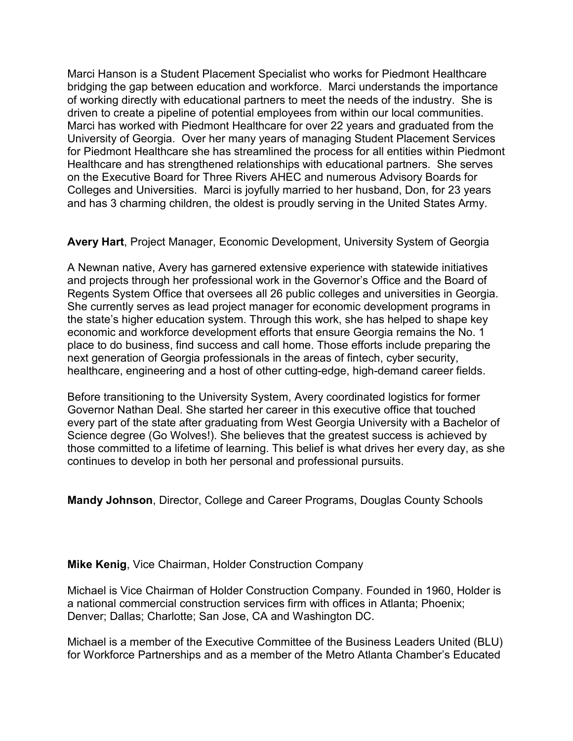Marci Hanson is a Student Placement Specialist who works for Piedmont Healthcare bridging the gap between education and workforce. Marci understands the importance of working directly with educational partners to meet the needs of the industry. She is driven to create a pipeline of potential employees from within our local communities. Marci has worked with Piedmont Healthcare for over 22 years and graduated from the University of Georgia. Over her many years of managing Student Placement Services for Piedmont Healthcare she has streamlined the process for all entities within Piedmont Healthcare and has strengthened relationships with educational partners. She serves on the Executive Board for Three Rivers AHEC and numerous Advisory Boards for Colleges and Universities. Marci is joyfully married to her husband, Don, for 23 years and has 3 charming children, the oldest is proudly serving in the United States Army.

# **Avery Hart**, Project Manager, Economic Development, University System of Georgia

A Newnan native, Avery has garnered extensive experience with statewide initiatives and projects through her professional work in the Governor's Office and the Board of Regents System Office that oversees all 26 public colleges and universities in Georgia. She currently serves as lead project manager for economic development programs in the state's higher education system. Through this work, she has helped to shape key economic and workforce development efforts that ensure Georgia remains the No. 1 place to do business, find success and call home. Those efforts include preparing the next generation of Georgia professionals in the areas of fintech, cyber security, healthcare, engineering and a host of other cutting-edge, high-demand career fields.

Before transitioning to the University System, Avery coordinated logistics for former Governor Nathan Deal. She started her career in this executive office that touched every part of the state after graduating from West Georgia University with a Bachelor of Science degree (Go Wolves!). She believes that the greatest success is achieved by those committed to a lifetime of learning. This belief is what drives her every day, as she continues to develop in both her personal and professional pursuits.

**Mandy Johnson**, Director, College and Career Programs, Douglas County Schools

# **Mike Kenig**, Vice Chairman, Holder Construction Company

Michael is Vice Chairman of Holder Construction Company. Founded in 1960, Holder is a national commercial construction services firm with offices in Atlanta; Phoenix; Denver; Dallas; Charlotte; San Jose, CA and Washington DC.

Michael is a member of the Executive Committee of the Business Leaders United (BLU) for Workforce Partnerships and as a member of the Metro Atlanta Chamber's Educated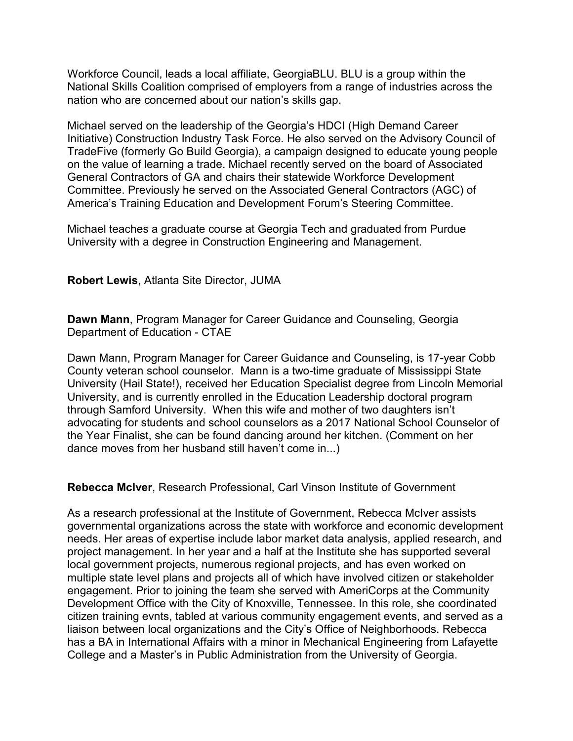Workforce Council, leads a local affiliate, GeorgiaBLU. BLU is a group within the National Skills Coalition comprised of employers from a range of industries across the nation who are concerned about our nation's skills gap.

Michael served on the leadership of the Georgia's HDCI (High Demand Career Initiative) Construction Industry Task Force. He also served on the Advisory Council of TradeFive (formerly Go Build Georgia), a campaign designed to educate young people on the value of learning a trade. Michael recently served on the board of Associated General Contractors of GA and chairs their statewide Workforce Development Committee. Previously he served on the Associated General Contractors (AGC) of America's Training Education and Development Forum's Steering Committee.

Michael teaches a graduate course at Georgia Tech and graduated from Purdue University with a degree in Construction Engineering and Management.

**Robert Lewis**, Atlanta Site Director, JUMA

**Dawn Mann**, Program Manager for Career Guidance and Counseling, Georgia Department of Education - CTAE

Dawn Mann, Program Manager for Career Guidance and Counseling, is 17-year Cobb County veteran school counselor. Mann is a two-time graduate of Mississippi State University (Hail State!), received her Education Specialist degree from Lincoln Memorial University, and is currently enrolled in the Education Leadership doctoral program through Samford University. When this wife and mother of two daughters isn't advocating for students and school counselors as a 2017 National School Counselor of the Year Finalist, she can be found dancing around her kitchen. (Comment on her dance moves from her husband still haven't come in...)

**Rebecca McIver**, Research Professional, Carl Vinson Institute of Government

As a research professional at the Institute of Government, Rebecca McIver assists governmental organizations across the state with workforce and economic development needs. Her areas of expertise include labor market data analysis, applied research, and project management. In her year and a half at the Institute she has supported several local government projects, numerous regional projects, and has even worked on multiple state level plans and projects all of which have involved citizen or stakeholder engagement. Prior to joining the team she served with AmeriCorps at the Community Development Office with the City of Knoxville, Tennessee. In this role, she coordinated citizen training evnts, tabled at various community engagement events, and served as a liaison between local organizations and the City's Office of Neighborhoods. Rebecca has a BA in International Affairs with a minor in Mechanical Engineering from Lafayette College and a Master's in Public Administration from the University of Georgia.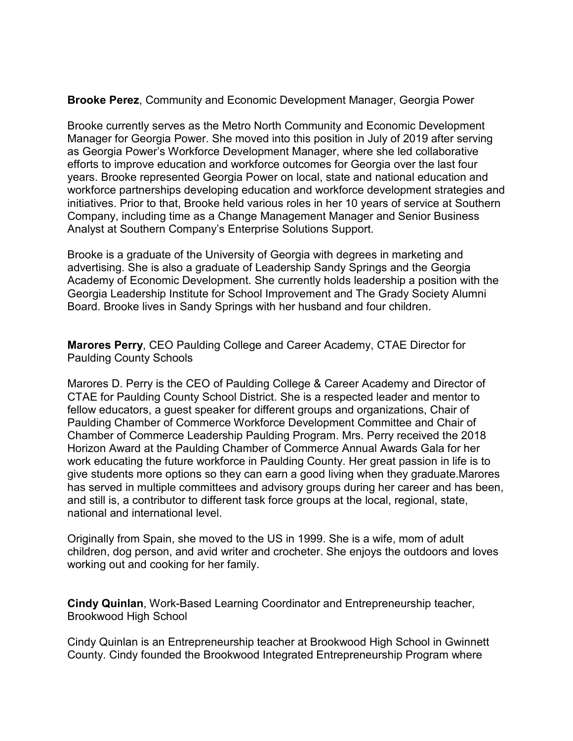#### **Brooke Perez**, Community and Economic Development Manager, Georgia Power

Brooke currently serves as the Metro North Community and Economic Development Manager for Georgia Power. She moved into this position in July of 2019 after serving as Georgia Power's Workforce Development Manager, where she led collaborative efforts to improve education and workforce outcomes for Georgia over the last four years. Brooke represented Georgia Power on local, state and national education and workforce partnerships developing education and workforce development strategies and initiatives. Prior to that, Brooke held various roles in her 10 years of service at Southern Company, including time as a Change Management Manager and Senior Business Analyst at Southern Company's Enterprise Solutions Support.

Brooke is a graduate of the University of Georgia with degrees in marketing and advertising. She is also a graduate of Leadership Sandy Springs and the Georgia Academy of Economic Development. She currently holds leadership a position with the Georgia Leadership Institute for School Improvement and The Grady Society Alumni Board. Brooke lives in Sandy Springs with her husband and four children.

**Marores Perry**, CEO Paulding College and Career Academy, CTAE Director for Paulding County Schools

Marores D. Perry is the CEO of Paulding College & Career Academy and Director of CTAE for Paulding County School District. She is a respected leader and mentor to fellow educators, a guest speaker for different groups and organizations, Chair of Paulding Chamber of Commerce Workforce Development Committee and Chair of Chamber of Commerce Leadership Paulding Program. Mrs. Perry received the 2018 Horizon Award at the Paulding Chamber of Commerce Annual Awards Gala for her work educating the future workforce in Paulding County. Her great passion in life is to give students more options so they can earn a good living when they graduate.Marores has served in multiple committees and advisory groups during her career and has been, and still is, a contributor to different task force groups at the local, regional, state, national and international level.

Originally from Spain, she moved to the US in 1999. She is a wife, mom of adult children, dog person, and avid writer and crocheter. She enjoys the outdoors and loves working out and cooking for her family.

**Cindy Quinlan**, Work-Based Learning Coordinator and Entrepreneurship teacher, Brookwood High School

Cindy Quinlan is an Entrepreneurship teacher at Brookwood High School in Gwinnett County. Cindy founded the Brookwood Integrated Entrepreneurship Program where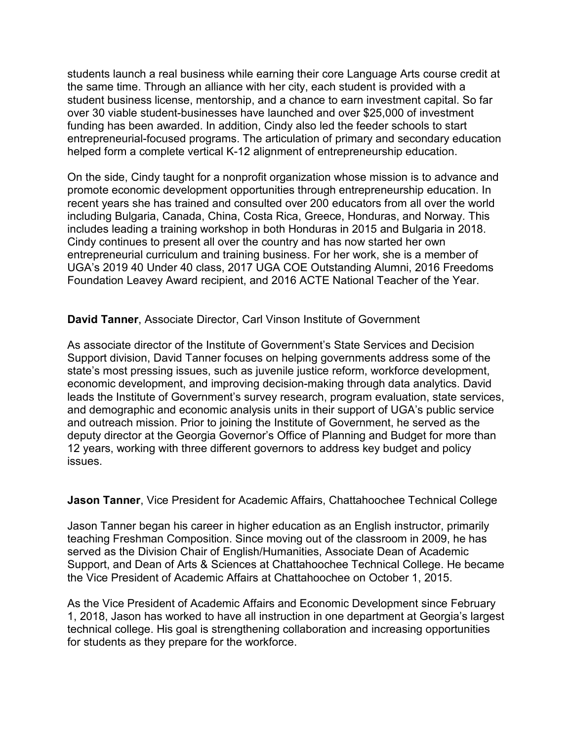students launch a real business while earning their core Language Arts course credit at the same time. Through an alliance with her city, each student is provided with a student business license, mentorship, and a chance to earn investment capital. So far over 30 viable student-businesses have launched and over \$25,000 of investment funding has been awarded. In addition, Cindy also led the feeder schools to start entrepreneurial-focused programs. The articulation of primary and secondary education helped form a complete vertical K-12 alignment of entrepreneurship education.

On the side, Cindy taught for a nonprofit organization whose mission is to advance and promote economic development opportunities through entrepreneurship education. In recent years she has trained and consulted over 200 educators from all over the world including Bulgaria, Canada, China, Costa Rica, Greece, Honduras, and Norway. This includes leading a training workshop in both Honduras in 2015 and Bulgaria in 2018. Cindy continues to present all over the country and has now started her own entrepreneurial curriculum and training business. For her work, she is a member of UGA's 2019 40 Under 40 class, 2017 UGA COE Outstanding Alumni, 2016 Freedoms Foundation Leavey Award recipient, and 2016 ACTE National Teacher of the Year.

**David Tanner**, Associate Director, Carl Vinson Institute of Government

As associate director of the Institute of Government's State Services and Decision Support division, David Tanner focuses on helping governments address some of the state's most pressing issues, such as juvenile justice reform, workforce development, economic development, and improving decision-making through data analytics. David leads the Institute of Government's survey research, program evaluation, state services, and demographic and economic analysis units in their support of UGA's public service and outreach mission. Prior to joining the Institute of Government, he served as the deputy director at the Georgia Governor's Office of Planning and Budget for more than 12 years, working with three different governors to address key budget and policy issues.

**Jason Tanner**, Vice President for Academic Affairs, Chattahoochee Technical College

Jason Tanner began his career in higher education as an English instructor, primarily teaching Freshman Composition. Since moving out of the classroom in 2009, he has served as the Division Chair of English/Humanities, Associate Dean of Academic Support, and Dean of Arts & Sciences at Chattahoochee Technical College. He became the Vice President of Academic Affairs at Chattahoochee on October 1, 2015.

As the Vice President of Academic Affairs and Economic Development since February 1, 2018, Jason has worked to have all instruction in one department at Georgia's largest technical college. His goal is strengthening collaboration and increasing opportunities for students as they prepare for the workforce.